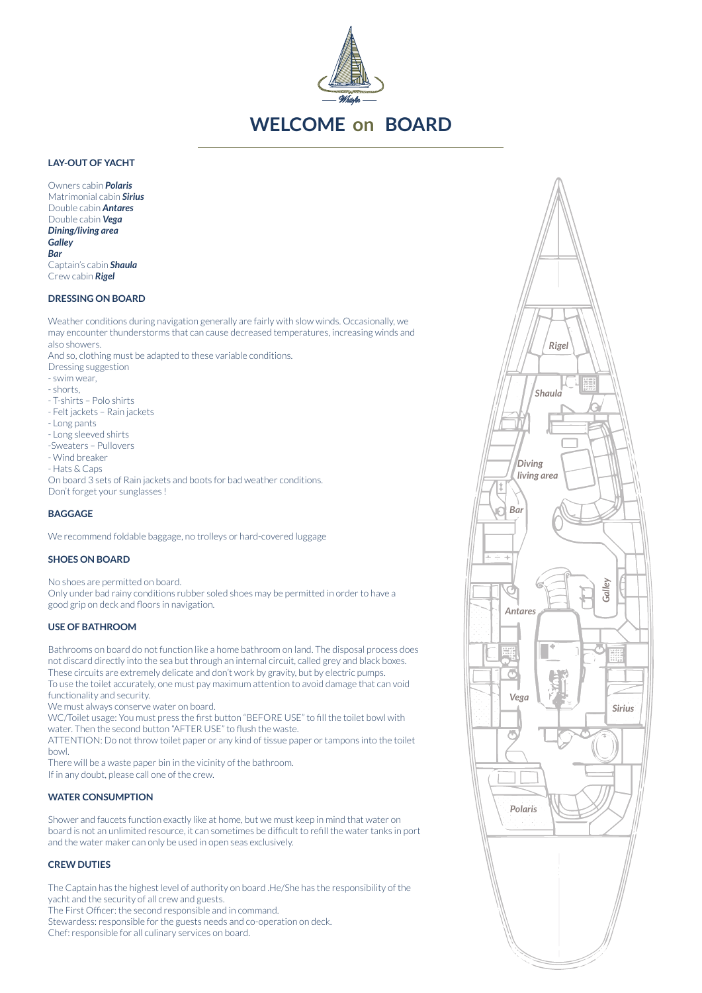

# **WELCOME on BOARD**

# **LAY-OUT OF YACHT**

Owners cabin *Polaris* Matrimonial cabin *Sirius* Double cabin *Antares* Double cabin *Vega Dining/living area Galley Bar* Captain's cabin *Shaula* Crew cabin *Rigel*

#### **DRESSING ON BOARD**

Weather conditions during navigation generally are fairly with slow winds. Occasionally, we may encounter thunderstorms that can cause decreased temperatures, increasing winds and also showers.

And so, clothing must be adapted to these variable conditions.

- Dressing suggestion
- swim wear,
- $-$  chorts
- T-shirts Polo shirts
- Felt jackets Rain jackets
- Long pants
- Long sleeved shirts
- -Sweaters Pullovers
- Wind breaker
- Hats & Caps

On board 3 sets of Rain jackets and boots for bad weather conditions. Don't forget your sunglasses !

# **BAGGAGE**

We recommend foldable baggage, no trolleys or hard-covered luggage

#### **SHOES ON BOARD**

No shoes are permitted on board. Only under bad rainy conditions rubber soled shoes may be permitted in order to have a good grip on deck and floors in navigation.

### **USE OF BATHROOM**

Bathrooms on board do not function like a home bathroom on land. The disposal process does not discard directly into the sea but through an internal circuit, called grey and black boxes. These circuits are extremely delicate and don't work by gravity, but by electric pumps. To use the toilet accurately, one must pay maximum attention to avoid damage that can void functionality and security.

We must always conserve water on board.

WC/Toilet usage: You must press the first button "BEFORE USE" to fill the toilet bowl with water. Then the second button "AFTER USE" to flush the waste.

ATTENTION: Do not throw toilet paper or any kind of tissue paper or tampons into the toilet bowl.

There will be a waste paper bin in the vicinity of the bathroom. If in any doubt, please call one of the crew.

#### **WATER CONSUMPTION**

Shower and faucets function exactly like at home, but we must keep in mind that water on board is not an unlimited resource, it can sometimes be difficult to refill the water tanks in port and the water maker can only be used in open seas exclusively.

#### **CREW DUTIES**

The Captain has the highest level of authority on board .He/She has the responsibility of the yacht and the security of all crew and guests.

The First Officer: the second responsible and in command.

Stewardess: responsible for the guests needs and co-operation on deck.

Chef: responsible for all culinary services on board.